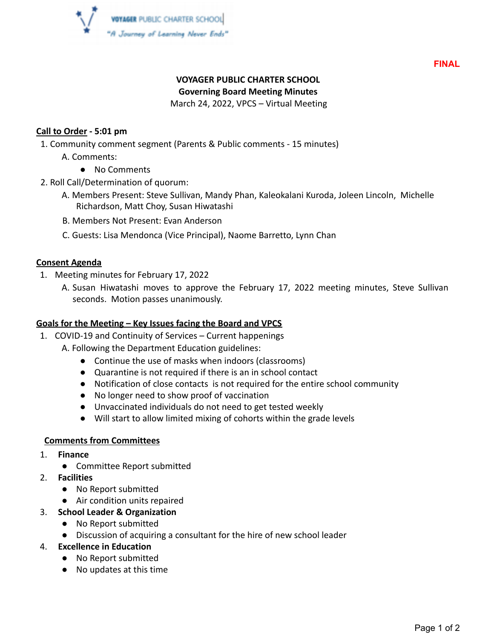

**FINAL**

# **VOYAGER PUBLIC CHARTER SCHOOL**

**Governing Board Meeting Minutes**

March 24, 2022, VPCS – Virtual Meeting

## **Call to Order - 5:01 pm**

- 1. Community comment segment (Parents & Public comments 15 minutes)
	- A. Comments:
		- No Comments
- 2. Roll Call/Determination of quorum:
	- A. Members Present: Steve Sullivan, Mandy Phan, Kaleokalani Kuroda, Joleen Lincoln, Michelle Richardson, Matt Choy, Susan Hiwatashi
	- B. Members Not Present: Evan Anderson
	- C. Guests: Lisa Mendonca (Vice Principal), Naome Barretto, Lynn Chan

#### **Consent Agenda**

- 1. Meeting minutes for February 17, 2022
	- A. Susan Hiwatashi moves to approve the February 17, 2022 meeting minutes, Steve Sullivan seconds. Motion passes unanimously.

# **Goals for the Meeting – Key Issues facing the Board and VPCS**

- 1. COVID-19 and Continuity of Services Current happenings
	- A. Following the Department Education guidelines:
		- Continue the use of masks when indoors (classrooms)
		- Quarantine is not required if there is an in school contact
		- Notification of close contacts is not required for the entire school community
		- No longer need to show proof of vaccination
		- Unvaccinated individuals do not need to get tested weekly
		- Will start to allow limited mixing of cohorts within the grade levels

#### **Comments from Committees**

- 1. **Finance**
	- Committee Report submitted
- 2. **Facilities**
	- No Report submitted
	- Air condition units repaired
- 3. **School Leader & Organization**
	- No Report submitted
	- Discussion of acquiring a consultant for the hire of new school leader
- 4. **Excellence in Education**
	- No Report submitted
	- No updates at this time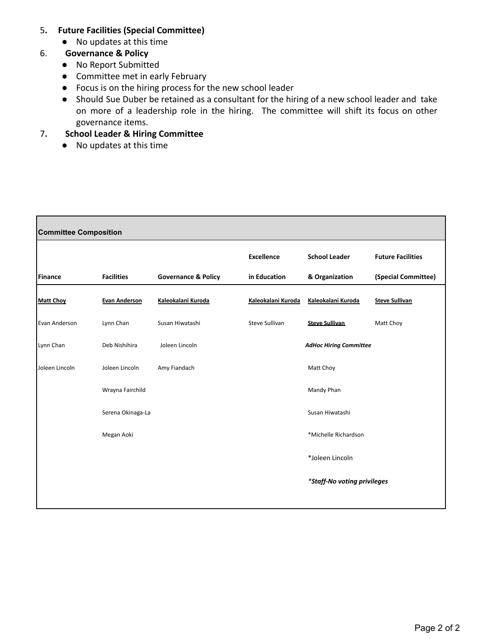#### 5**. Future Facilities (Special Committee)**

● No updates at this time

#### 6. **Governance & Policy**

- No Report Submitted
- Committee met in early February
- Focus is on the hiring process for the new school leader
- Should Sue Duber be retained as a consultant for the hiring of a new school leader and take on more of a leadership role in the hiring. The committee will shift its focus on other governance items.

# 7**. School Leader & Hiring Committee**

● No updates at this time

| <b>Committee Composition</b> |                      |                                |                               |                             |                          |
|------------------------------|----------------------|--------------------------------|-------------------------------|-----------------------------|--------------------------|
|                              |                      |                                | <b>Excellence</b>             | <b>School Leader</b>        | <b>Future Facilities</b> |
| <b>Finance</b>               | <b>Facilities</b>    | <b>Governance &amp; Policy</b> | in Education                  | & Organization              | (Special Committee)      |
| <b>Matt Choy</b>             | <b>Evan Anderson</b> | Kaleokalani Kuroda             | Kaleokalani Kuroda            | Kaleokalani Kuroda          | <b>Steve Sullivan</b>    |
| Evan Anderson                | Lynn Chan            | Susan Hiwatashi                | Steve Sullivan                | <b>Steve Sullivan</b>       | Matt Choy                |
| Lynn Chan                    | Deb Nishihira        | Joleen Lincoln                 | <b>AdHoc Hiring Committee</b> |                             |                          |
| Joleen Lincoln               | Joleen Lincoln       | Amy Fiandach                   |                               | Matt Choy                   |                          |
|                              | Wrayna Fairchild     |                                |                               | Mandy Phan                  |                          |
|                              | Serena Okinaga-La    |                                |                               | Susan Hiwatashi             |                          |
|                              | Megan Aoki           |                                |                               | *Michelle Richardson        |                          |
|                              |                      |                                |                               | *Joleen Lincoln             |                          |
|                              |                      |                                |                               | *Staff-No voting privileges |                          |
|                              |                      |                                |                               |                             |                          |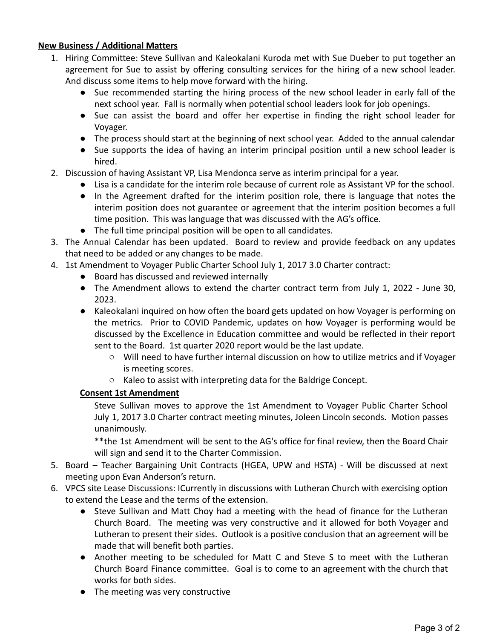#### **New Business / Additional Matters**

- 1. Hiring Committee: Steve Sullivan and Kaleokalani Kuroda met with Sue Dueber to put together an agreement for Sue to assist by offering consulting services for the hiring of a new school leader. And discuss some items to help move forward with the hiring.
	- Sue recommended starting the hiring process of the new school leader in early fall of the next school year. Fall is normally when potential school leaders look for job openings.
	- Sue can assist the board and offer her expertise in finding the right school leader for Voyager.
	- The process should start at the beginning of next school year. Added to the annual calendar
	- Sue supports the idea of having an interim principal position until a new school leader is hired.
- 2. Discussion of having Assistant VP, Lisa Mendonca serve as interim principal for a year.
	- Lisa is a candidate for the interim role because of current role as Assistant VP for the school.
	- In the Agreement drafted for the interim position role, there is language that notes the interim position does not guarantee or agreement that the interim position becomes a full time position. This was language that was discussed with the AG's office.
	- The full time principal position will be open to all candidates.
- 3. The Annual Calendar has been updated. Board to review and provide feedback on any updates that need to be added or any changes to be made.
- 4. 1st Amendment to Voyager Public Charter School July 1, 2017 3.0 Charter contract:
	- Board has discussed and reviewed internally
	- The Amendment allows to extend the charter contract term from July 1, 2022 June 30, 2023.
	- Kaleokalani inquired on how often the board gets updated on how Voyager is performing on the metrics. Prior to COVID Pandemic, updates on how Voyager is performing would be discussed by the Excellence in Education committee and would be reflected in their report sent to the Board. 1st quarter 2020 report would be the last update.
		- Will need to have further internal discussion on how to utilize metrics and if Voyager is meeting scores.
		- Kaleo to assist with interpreting data for the Baldrige Concept.

# **Consent 1st Amendment**

Steve Sullivan moves to approve the 1st Amendment to Voyager Public Charter School July 1, 2017 3.0 Charter contract meeting minutes, Joleen Lincoln seconds. Motion passes unanimously.

\*\*the 1st Amendment will be sent to the AG's office for final review, then the Board Chair will sign and send it to the Charter Commission.

- 5. Board Teacher Bargaining Unit Contracts (HGEA, UPW and HSTA) Will be discussed at next meeting upon Evan Anderson's return.
- 6. VPCS site Lease Discussions: ICurrently in discussions with Lutheran Church with exercising option to extend the Lease and the terms of the extension.
	- Steve Sullivan and Matt Choy had a meeting with the head of finance for the Lutheran Church Board. The meeting was very constructive and it allowed for both Voyager and Lutheran to present their sides. Outlook is a positive conclusion that an agreement will be made that will benefit both parties.
	- Another meeting to be scheduled for Matt C and Steve S to meet with the Lutheran Church Board Finance committee. Goal is to come to an agreement with the church that works for both sides.
	- The meeting was very constructive